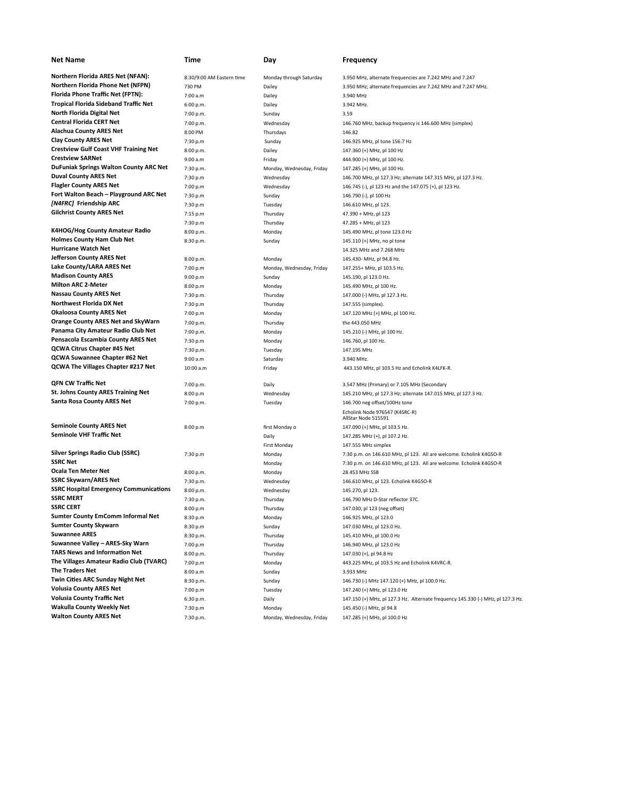| <b>Net Name</b>                                                                | Time                      | Day                       | <b>Frequency</b>                                                                |
|--------------------------------------------------------------------------------|---------------------------|---------------------------|---------------------------------------------------------------------------------|
| <b>Northern Florida ARES Net (NFAN):</b>                                       | 8:30/9:00 AM Eastern time | Monday through Saturday   | 3.950 MHz, alternate frequencies are 7.242 MHz and 7.247                        |
| <b>Northern Florida Phone Net (NFPN)</b>                                       | 730 PM                    | Dailey                    | 3.950 MHz; alternate frequencies are 7.242 MHz and 7.247 MHz.                   |
| Florida Phone Traffic Net (FPTN):                                              | 7:00 a.m                  | Dailey                    | 3.940 MHz                                                                       |
| <b>Tropical Florida Sideband Traffic Net</b>                                   | 6:00 p.m.                 | Dailey                    | 3.942 MHz.                                                                      |
| North Florida Digital Net                                                      | 7:00 p.m.                 | Sunday                    | 3.59                                                                            |
| <b>Central Florida CERT Net</b>                                                | 7:00 p.m.                 | Wednesday                 | 146.760 MHz, backup frequency is 146.600 MHz (simplex)                          |
| <b>Alachua County ARES Net</b>                                                 | 8:00 PM                   | Thursdays                 | 146.82                                                                          |
| <b>Clay County ARES Net</b>                                                    | 7:30 p.m                  | Sunday                    | 146.925 MHz, pl tone 156.7 Hz                                                   |
| <b>Crestview Gulf Coast VHF Training Net</b>                                   | 8:00 p.m.                 | Dailey                    | 147.360 (+) MHz, pl 100 Hz                                                      |
| <b>Crestview SARNet</b>                                                        | 9:00 a.m                  | Friday                    | 444.900 (+) MHz, pl 100 Hz.                                                     |
| <b>DuFuniak Springs Walton County ARC Net</b>                                  | 7:30 p.m.                 | Monday, Wednesday, Friday | 147.285 (+) MHz, pl 100 Hz.                                                     |
| <b>Duval County ARES Net</b>                                                   | 7:30 p.m                  | Wednesday                 | 146.700 MHz, pl 127.3 Hz; alternate 147.315 MHz, pl 127.3 Hz.                   |
| <b>Flagler County ARES Net</b>                                                 | 7:00 p.m                  | Wednesday                 | 146.745 (-), pl 123 Hz and the 147.075 (+), pl 123 Hz.                          |
| Fort Walton Beach – Playground ARC Net                                         | 7:30 p.m                  | Sunday                    | 146.790 (-), pl 100 Hz                                                          |
| [N4FRC] Friendship ARC                                                         | 7:30 p.m                  | Tuesday                   | 146.610 MHz, pl 123.                                                            |
| <b>Gilchrist County ARES Net</b>                                               | 7:15 p.m                  | Thursday                  | 47.390 + MHz, pl 123                                                            |
|                                                                                | 7:30 p.m                  | Thursday                  | 47.285 + MHz, pl 123                                                            |
| K4HOG/Hog County Amateur Radio                                                 | 8:00 p.m.                 | Monday                    | 145.490 MHz, pl tone 123.0 Hz                                                   |
| <b>Holmes County Ham Club Net</b>                                              | 8:30 p.m.                 | Sunday                    | 145.110 (+) MHz, no pl tone                                                     |
| <b>Hurricane Watch Net</b>                                                     |                           |                           | 14.325 MHz and 7.268 MHz                                                        |
| <b>Jefferson County ARES Net</b>                                               | 8:00 p.m.                 | Monday                    | 145.430- MHz, pl 94.8 Hz.                                                       |
| Lake County/LARA ARES Net                                                      | 7:00 p.m                  | Monday, Wednesday, Friday | 147.255+ MHz, pl 103.5 Hz.                                                      |
| <b>Madison County ARES</b>                                                     | 9:00 p.m                  | Sunday                    | 145.190, pl 123.0 Hz.                                                           |
| <b>Milton ARC 2-Meter</b>                                                      | 8:00 p.m                  | Monday                    | 145.490 MHz, pl 100 Hz.                                                         |
| <b>Nassau County ARES Net</b><br><b>Northwest Florida DX Net</b>               | 7:30 p.m.                 | Thursday                  | 147.000 (-) MHz, pl 127.3 Hz.                                                   |
| <b>Okaloosa County ARES Net</b>                                                | 7:30 p.m                  | Thursday                  | 147.555 (simplex).                                                              |
| <b>Orange County ARES Net and SkyWarn</b>                                      | 7:00 p.m<br>7:00 p.m.     | Monday<br>Thursday        | 147.120 MHz (+) MHz, pl 100 Hz.<br>the 443.050 MHz                              |
| Panama City Amateur Radio Club Net                                             | 7:00 p.m.                 | Monday                    | 145.210 (-) MHz, pl 100 Hz.                                                     |
| Pensacola Escambia County ARES Net                                             | 7:30 p.m                  | Monday                    | 146.760, pl 100 Hz.                                                             |
| <b>QCWA Citrus Chapter #45 Net</b>                                             | 7:30 p.m.                 | Tuesday                   | 147.195 MHz                                                                     |
| QCWA Suwannee Chapter #62 Net                                                  | 9:00 a.m                  | Saturday                  | 3.940 MHz.                                                                      |
| QCWA The Villages Chapter #217 Net                                             | 10:00 a.m                 | Friday                    | 443.150 MHz, pl 103.5 Hz and Echolink K4LFK-R.                                  |
|                                                                                |                           |                           |                                                                                 |
| QFN CW Traffic Net                                                             | 7:00 p.m.                 | Daily                     | 3.547 MHz (Primary) or 7.105 MHz (Secondary                                     |
| <b>St. Johns County ARES Training Net</b><br><b>Santa Rosa County ARES Net</b> | 8:00 p.m                  | Wednesday                 | 145.210 MHz, pl 127.3 Hz; alternate 147.015 MHz, pl 127.3 Hz.                   |
|                                                                                | 7:00 p.m.                 | Tuesday                   | 146.700 neg offset/100Hz tone                                                   |
|                                                                                |                           |                           | Echolink Node 976547 (K4SRC-R)<br>AllStar Node 515591                           |
| <b>Seminole County ARES Net</b>                                                | 8:00 p.m                  | first Monday o            | 147.090 (+) MHz, pl 103.5 Hz.                                                   |
| <b>Seminole VHF Traffic Net</b>                                                |                           | Daily                     | 147.285 MHz (+), pl 107.2 Hz.                                                   |
|                                                                                |                           | First Monday              | 147.555 MHz simplex                                                             |
| <b>Silver Springs Radio Club (SSRC)</b>                                        | 7:30 p.m                  | Monday                    | 7:30 p.m. on 146.610 MHz, pl 123. All are welcome. Echolink K4GSO-R             |
| <b>SSRC Net</b>                                                                |                           | Monday                    | 7:30 p.m. on 146.610 MHz, pl 123. All are welcome. Echolink K4GSO-R             |
| Ocala Ten Meter Net                                                            | 8:00 p.m.                 | Monday                    | 28.453 MHz SSB                                                                  |
| <b>SSRC Skywarn/ARES Net</b><br><b>SSRC Hospital Emergency Communications</b>  | 7:30 p.m.                 | Wednesday                 | 146.610 MHz, pl 123. Echolink K4GSO-R                                           |
| <b>SSRC MERT</b>                                                               | 8:00 p.m.                 | Wednesday                 | 145.270, pl 123.                                                                |
| <b>SSRC CERT</b>                                                               | 7:30 p.m.                 | Thursday                  | 146.790 MHz D-Star reflector 37C.                                               |
| <b>Sumter County EmComm Informal Net</b>                                       | 8:00 p.m<br>8:30 p.m      | Thursday                  | 147.030, pl 123 (neg offset)<br>146.925 MHz, pl 123.0                           |
| <b>Sumter County Skywarn</b>                                                   | 8:30 p.m                  | Monday<br>Sunday          | 147.030 MHz, pl 123.0 Hz.                                                       |
| <b>Suwannee ARES</b>                                                           | 8:30 p.m.                 | Thursday                  | 145.410 MHz, pl 100.0 Hz                                                        |
| Suwannee Valley - ARES-Sky Warn                                                | 7:00 p.m                  | Thursday                  | 146.940 MHz, pl 123.0 Hz                                                        |
| <b>TARS News and Information Net</b>                                           | 8:00 p.m.                 | Thursday                  | 147.030 (+), pl 94.8 Hz                                                         |
| The Villages Amateur Radio Club (TVARC)                                        | 7:00 p.m                  | Monday                    | 443.225 MHz, pl 103.5 Hz and Echolink K4VRC-R.                                  |
| The Traders Net                                                                | 8:00 a.m                  | Sunday                    | 3.933 MHz                                                                       |
| Twin Cities ARC Sunday Night Net                                               | 8:30 p.m.                 | Sunday                    | 146.730 (-) MHz 147.120 (+) MHz, pl 100.0 Hz.                                   |
| <b>Volusia County ARES Net</b>                                                 | 7:00 p.m                  | Tuesday                   | 147.240 (+) MHz, pl 123.0 Hz                                                    |
| <b>Volusia County Traffic Net</b>                                              | 6:30 p.m.                 | Daily                     | 147.150 (+) MHz, pl 127.3 Hz. Alternate frequency 145.330 (-) MHz, pl 127.3 Hz. |
| <b>Wakulla County Weekly Net</b>                                               | 7:30 p.m                  | Monday                    | 145.450 (-) MHz, pl 94.8                                                        |
| <b>Walton County ARES Net</b>                                                  | 7:30 p.m.                 | Monday, Wednesday, Friday | 147.285 (+) MHz, pl 100.0 Hz                                                    |